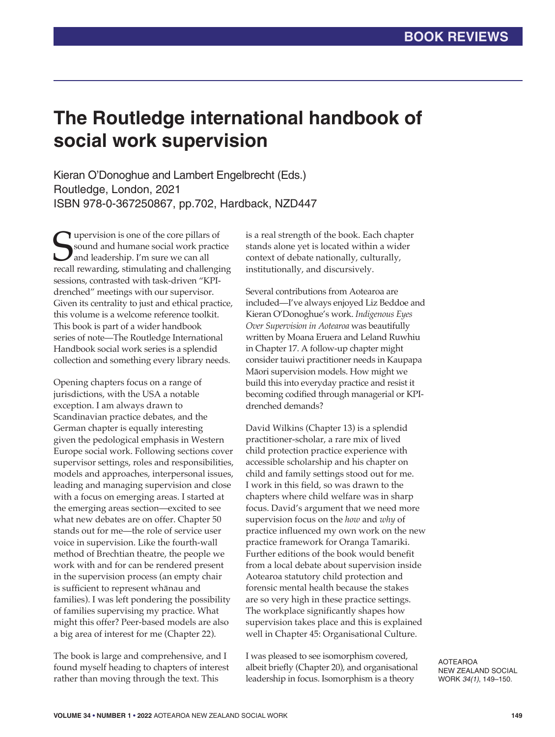## **The Routledge international handbook of social work supervision**

Kieran O'Donoghue and Lambert Engelbrecht (Eds.) Routledge, London, 2021 ISBN 978-0-367250867, pp.702, Hardback, NZD447

Supervision is one of the core pillars of<br>
Sound and humane social work practice<br>
and leadership. I'm sure we can all<br>
recall rewarding, stimulating and challenging **T** upervision is one of the core pillars of sound and humane social work practice and leadership. I'm sure we can all sessions, contrasted with task-driven "KPIdrenched" meetings with our supervisor. Given its centrality to just and ethical practice, this volume is a welcome reference toolkit. This book is part of a wider handbook series of note—The Routledge International Handbook social work series is a splendid collection and something every library needs.

Opening chapters focus on a range of jurisdictions, with the USA a notable exception. I am always drawn to Scandinavian practice debates, and the German chapter is equally interesting given the pedological emphasis in Western Europe social work. Following sections cover supervisor settings, roles and responsibilities, models and approaches, interpersonal issues, leading and managing supervision and close with a focus on emerging areas. I started at the emerging areas section—excited to see what new debates are on offer. Chapter 50 stands out for me—the role of service user voice in supervision. Like the fourth-wall method of Brechtian theatre, the people we work with and for can be rendered present in the supervision process (an empty chair is sufficient to represent whānau and families). I was left pondering the possibility of families supervising my practice. What might this offer? Peer-based models are also a big area of interest for me (Chapter 22).

The book is large and comprehensive, and I found myself heading to chapters of interest rather than moving through the text. This

is a real strength of the book. Each chapter stands alone yet is located within a wider context of debate nationally, culturally, institutionally, and discursively.

Several contributions from Aotearoa are included—I've always enjoyed Liz Beddoe and Kieran O'Donoghue's work. *Indigenous Eyes Over Supervision in Aotearoa* was beautifully written by Moana Eruera and Leland Ruwhiu in Chapter 17. A follow-up chapter might consider tauiwi practitioner needs in Kaupapa Māori supervision models. How might we build this into everyday practice and resist it becoming codified through managerial or KPIdrenched demands?

David Wilkins (Chapter 13) is a splendid practitioner-scholar, a rare mix of lived child protection practice experience with accessible scholarship and his chapter on child and family settings stood out for me. I work in this field, so was drawn to the chapters where child welfare was in sharp focus. David's argument that we need more supervision focus on the *how* and *why* of practice influenced my own work on the new practice framework for Oranga Tamariki. Further editions of the book would benefit from a local debate about supervision inside Aotearoa statutory child protection and forensic mental health because the stakes are so very high in these practice settings. The workplace significantly shapes how supervision takes place and this is explained well in Chapter 45: Organisational Culture.

I was pleased to see isomorphism covered, albeit briefly (Chapter 20), and organisational leadership in focus. Isomorphism is a theory

AOTEAROA NEW ZEALAND SOCIAL WORK *34(1)*, 149–150.